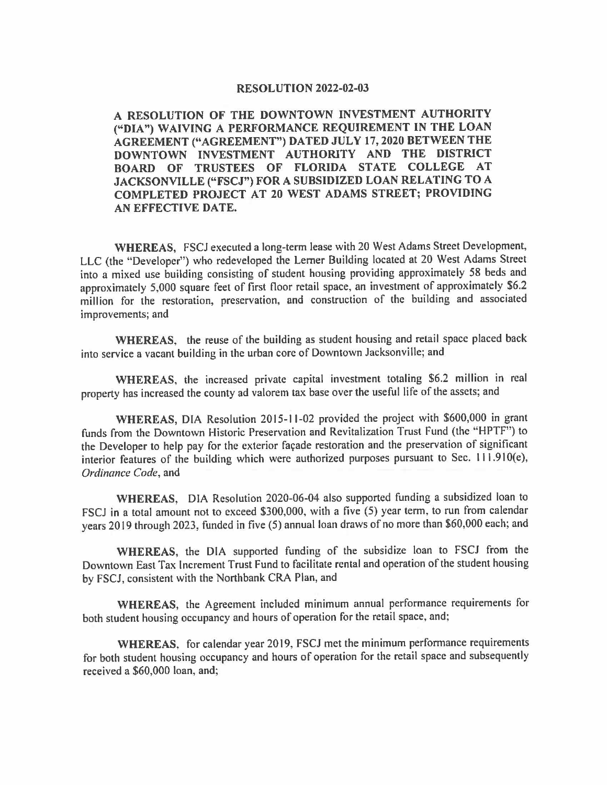## **RESOLUTION 2022-02-03**

**A RESOLUTION OF THE DOWNTOWN INVESTMENT AUTHORITY ("DIA") WAIVING A PERFORMANCE REQUIREMENT IN THE LOAN AGREEMENT ("AGREEMENT") DATED JULY** 17, **2020 BETWEEN THE DOWNTOWN INVESTMENT AUTHORITY AND THE DISTRICT BOARD OF TRUSTEES OF FLORIDA STATE COLLEGE AT JACKSONVILLE ("FSCJ") FOR A SUBSIDIZED LOAN RELATING TO A COMPLETED PROJECT AT 20 WEST ADAMS STREET; PROVIDING AN EFFECTIVE DATE.** 

**WHEREAS,** FSCJ executed a long-term lease with 20 West Adams Street Development, LLC (the "Developer") who redeveloped the Lerner Building located at 20 West Adams Street into a mixed use building consisting of student housing providing approximately 58 beds and approximately 5,000 square feet of first floor retail space, an investment of approximately \$6.2 million for the restoration, preservation, and construction of the building and associated improvements; and

**WHEREAS,** the reuse of the building as student housing and retail space placed back into service a vacant building in the urban core of Downtown Jacksonville; and

**WHEREAS,** the increased private capital investment totaling \$6.2 million in real property has increased the county ad valorem tax base over the useful life of the assets; and

**WHEREAS,** DIA Resolution 2015-11-02 provided the project with \$600,000 in grant funds from the Downtown Historic Preservation and Revitalization Trust Fund (the "HPTF") to the Developer to help pay for the exterior facade restoration and the preservation of significant interior features of the building which were authorized purposes pursuant to Sec. I I l.910(e), *Ordinance Code,* and

**WHEREAS,** DIA Resolution 2020-06-04 also supported funding a subsidized loan to FSCJ in a total amount not to exceed \$300,000, with a five (5) year term, to run from calendar years 2019 through 2023, funded in five (5) annual loan draws of no more than \$60,000 each; and

**WHEREAS,** the DIA supported funding of the subsidize loan to FSCJ from the Downtown East Tax Increment Trust Fund to facilitate rental and operation of the student housing by FSCJ, consistent with the Northbank CRA Plan, and

**WHEREAS,** the Agreement included minimum annual performance requirements for both student housing occupancy and hours of operation for the retail space, and;

**WHEREAS,** for calendar year 2019, FSCJ met the minimum performance requirements for both student housing occupancy and hours of operation for the retail space and subsequently received a \$60,000 loan, and;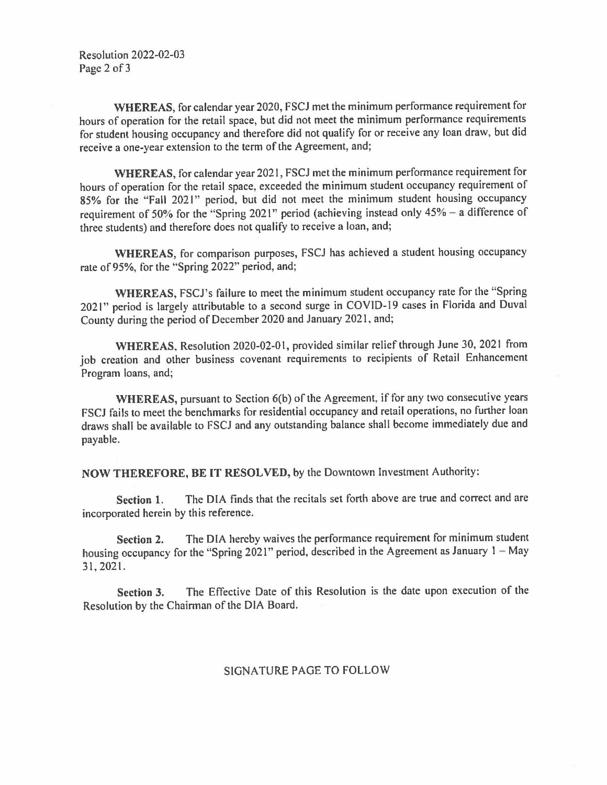Resolution 2022-02-03 Page 2 of 3

**WHEREAS,** for calendar year 2020, FSCJ met the minimum performance requirement for hours of operation for the retail space, but did not meet the minimum performance requirements for student housing occupancy and therefore did not qualify for or receive any loan draw, but did receive a one-year extension to the term of the Agreement, and;

**WHEREAS,** for calendar year 2021, FSCJ met the minimum performance requirement for hours of operation for the retail space, exceeded the minimum student occupancy requirement of 85% for the "Fall 2021" period, but did not meet the minimum student housing occupancy requirement of 50% for the "Spring 2021" period (achieving instead only 45% - a difference of three students) and therefore does not qualify to receive a loan, and;

**WHEREAS,** for comparison purposes, FSCJ has achieved a student housing occupancy rate of 95%, for the "Spring 2022" period, and;

**WHEREAS,** FSCJ's failure to meet the minimum student occupancy rate for the "Spring 2021" period is largely attributable to a second surge in COVID-19 cases in Florida and Duval County during the period of December 2020 and January 2021, and;

**WHEREAS,** Resolution 2020-02-0 I, provided similar relief through June 30, 2021 from job creation and other business covenant requirements to recipients of Retail Enhancement Program loans, and;

**WHEREAS,** pursuant to Section 6(b) of the Agreement, if for any two consecutive years FSCJ fails to meet the benchmarks for residential occupancy and retail operations, no further loan draws shall be available to FSCJ and any outstanding balance shall become immediately due and payable.

**NOW THEREFORE, BE IT RESOLVED,** by the Downtown Investment Authority:

**Section 1.** The DIA finds that the recitals set forth above are true and correct and are incorporated herein by this reference.

**Section 2.** The DIA hereby waives the performance requirement for minimum student housing occupancy for the "Spring 2021" period, described in the Agreement as January 1 - May 31,202 l.

**Section 3.** The Effective Date of this Resolution is the date upon execution of the Resolution by the Chairman of the DIA Board.

## SIGNATURE PAGE TO FOLLOW